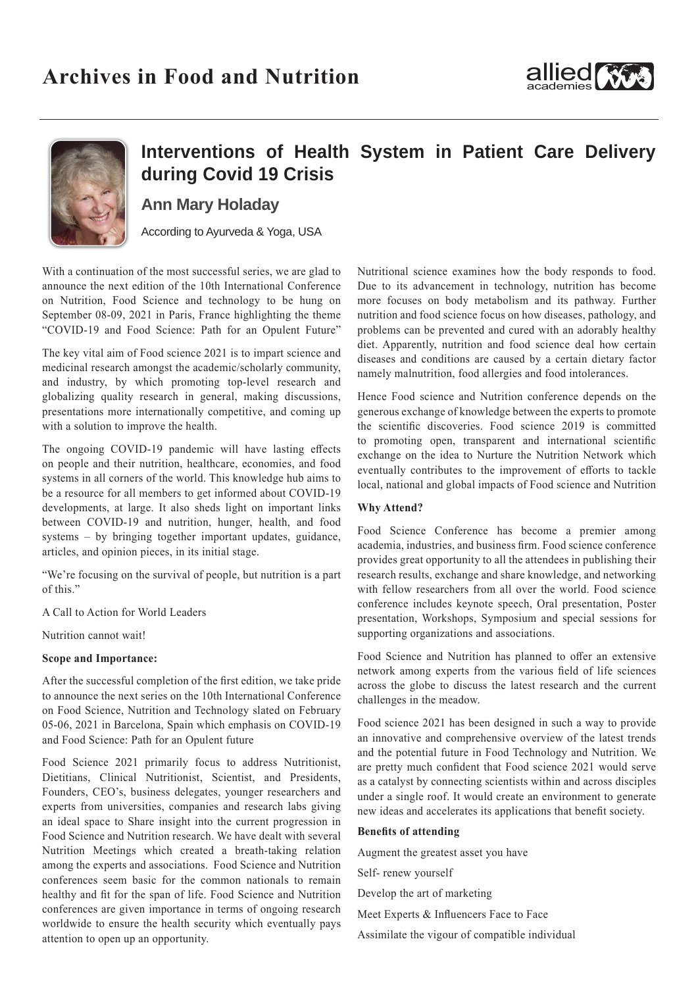



# **Interventions of Health System in Patient Care Delivery during Covid 19 Crisis**

**Ann Mary Holaday** 

According to Ayurveda & Yoga, USA

With a continuation of the most successful series, we are glad to announce the next edition of the 10th International Conference on Nutrition, Food Science and technology to be hung on September 08-09, 2021 in Paris, France highlighting the theme "COVID-19 and Food Science: Path for an Opulent Future"

The key vital aim of Food science 2021 is to impart science and medicinal research amongst the academic/scholarly community, and industry, by which promoting top-level research and globalizing quality research in general, making discussions, presentations more internationally competitive, and coming up with a solution to improve the health.

The ongoing COVID-19 pandemic will have lasting effects on people and their nutrition, healthcare, economies, and food systems in all corners of the world. This knowledge hub aims to be a resource for all members to get informed about COVID-19 developments, at large. It also sheds light on important links between COVID-19 and nutrition, hunger, health, and food systems – by bringing together important updates, guidance, articles, and opinion pieces, in its initial stage.

"We're focusing on the survival of people, but nutrition is a part of this."

A Call to Action for World Leaders

Nutrition cannot wait!

### **Scope and Importance:**

After the successful completion of the first edition, we take pride to announce the next series on the 10th International Conference on Food Science, Nutrition and Technology slated on February 05-06, 2021 in Barcelona, Spain which emphasis on COVID-19 and Food Science: Path for an Opulent future

Food Science 2021 primarily focus to address Nutritionist, Dietitians, Clinical Nutritionist, Scientist, and Presidents, Founders, CEO's, business delegates, younger researchers and experts from universities, companies and research labs giving an ideal space to Share insight into the current progression in Food Science and Nutrition research. We have dealt with several Nutrition Meetings which created a breath-taking relation among the experts and associations. Food Science and Nutrition conferences seem basic for the common nationals to remain healthy and fit for the span of life. Food Science and Nutrition conferences are given importance in terms of ongoing research worldwide to ensure the health security which eventually pays attention to open up an opportunity.

Nutritional science examines how the body responds to food. Due to its advancement in technology, nutrition has become more focuses on body metabolism and its pathway. Further nutrition and food science focus on how diseases, pathology, and problems can be prevented and cured with an adorably healthy diet. Apparently, nutrition and food science deal how certain diseases and conditions are caused by a certain dietary factor namely malnutrition, food allergies and food intolerances.

Hence Food science and Nutrition conference depends on the generous exchange of knowledge between the experts to promote the scientific discoveries. Food science 2019 is committed to promoting open, transparent and international scientific exchange on the idea to Nurture the Nutrition Network which eventually contributes to the improvement of efforts to tackle local, national and global impacts of Food science and Nutrition

## **Why Attend?**

Food Science Conference has become a premier among academia, industries, and business firm. Food science conference provides great opportunity to all the attendees in publishing their research results, exchange and share knowledge, and networking with fellow researchers from all over the world. Food science conference includes keynote speech, Oral presentation, Poster presentation, Workshops, Symposium and special sessions for supporting organizations and associations.

Food Science and Nutrition has planned to offer an extensive network among experts from the various field of life sciences across the globe to discuss the latest research and the current challenges in the meadow.

Food science 2021 has been designed in such a way to provide an innovative and comprehensive overview of the latest trends and the potential future in Food Technology and Nutrition. We are pretty much confident that Food science 2021 would serve as a catalyst by connecting scientists within and across disciples under a single roof. It would create an environment to generate new ideas and accelerates its applications that benefit society.

#### **Benefits of attending**

Augment the greatest asset you have

Self- renew yourself

Develop the art of marketing

Meet Experts & Influencers Face to Face

Assimilate the vigour of compatible individual